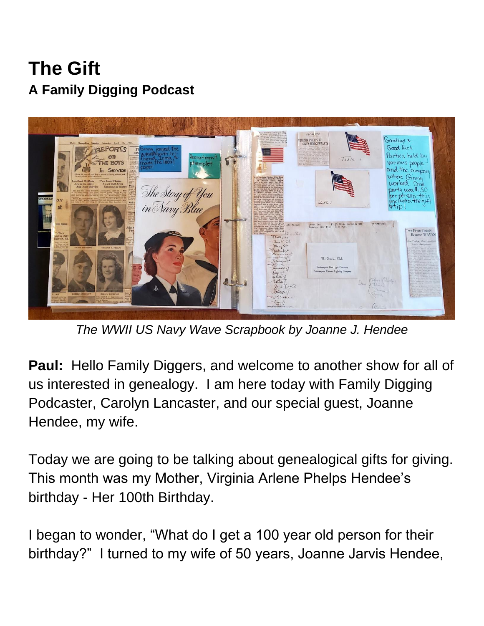**The Gift A Family Digging Podcast**



*The WWII US Navy Wave Scrapbook by Joanne J. Hendee*

**Paul:** Hello Family Diggers, and welcome to another show for all of us interested in genealogy. I am here today with Family Digging Podcaster, Carolyn Lancaster, and our special guest, Joanne Hendee, my wife.

Today we are going to be talking about genealogical gifts for giving. This month was my Mother, Virginia Arlene Phelps Hendee's birthday - Her 100th Birthday.

I began to wonder, "What do I get a 100 year old person for their birthday?" I turned to my wife of 50 years, Joanne Jarvis Hendee,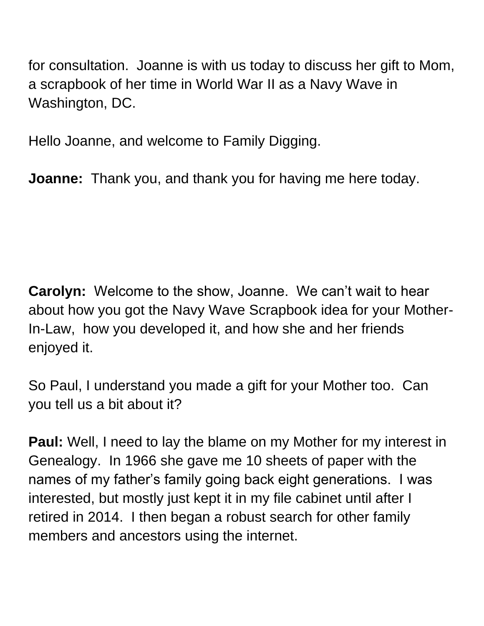for consultation. Joanne is with us today to discuss her gift to Mom, a scrapbook of her time in World War II as a Navy Wave in Washington, DC.

Hello Joanne, and welcome to Family Digging.

**Joanne:** Thank you, and thank you for having me here today.

**Carolyn:** Welcome to the show, Joanne. We can't wait to hear about how you got the Navy Wave Scrapbook idea for your Mother-In-Law, how you developed it, and how she and her friends enjoyed it.

So Paul, I understand you made a gift for your Mother too. Can you tell us a bit about it?

**Paul:** Well, I need to lay the blame on my Mother for my interest in Genealogy. In 1966 she gave me 10 sheets of paper with the names of my father's family going back eight generations. I was interested, but mostly just kept it in my file cabinet until after I retired in 2014. I then began a robust search for other family members and ancestors using the internet.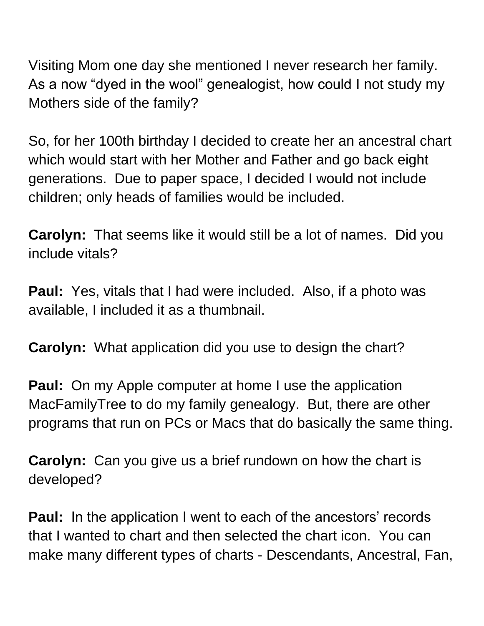Visiting Mom one day she mentioned I never research her family. As a now "dyed in the wool" genealogist, how could I not study my Mothers side of the family?

So, for her 100th birthday I decided to create her an ancestral chart which would start with her Mother and Father and go back eight generations. Due to paper space, I decided I would not include children; only heads of families would be included.

**Carolyn:** That seems like it would still be a lot of names. Did you include vitals?

**Paul:** Yes, vitals that I had were included. Also, if a photo was available, I included it as a thumbnail.

**Carolyn:** What application did you use to design the chart?

**Paul:** On my Apple computer at home I use the application MacFamilyTree to do my family genealogy. But, there are other programs that run on PCs or Macs that do basically the same thing.

**Carolyn:** Can you give us a brief rundown on how the chart is developed?

**Paul:** In the application I went to each of the ancestors' records that I wanted to chart and then selected the chart icon. You can make many different types of charts - Descendants, Ancestral, Fan,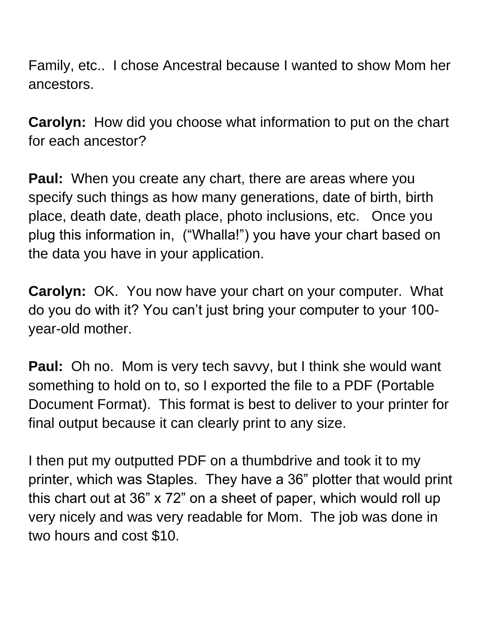Family, etc.. I chose Ancestral because I wanted to show Mom her ancestors.

**Carolyn:** How did you choose what information to put on the chart for each ancestor?

**Paul:** When you create any chart, there are areas where you specify such things as how many generations, date of birth, birth place, death date, death place, photo inclusions, etc. Once you plug this information in, ("Whalla!") you have your chart based on the data you have in your application.

**Carolyn:** OK. You now have your chart on your computer. What do you do with it? You can't just bring your computer to your 100 year-old mother.

**Paul:** Oh no. Mom is very tech savvy, but I think she would want something to hold on to, so I exported the file to a PDF (Portable Document Format). This format is best to deliver to your printer for final output because it can clearly print to any size.

I then put my outputted PDF on a thumbdrive and took it to my printer, which was Staples. They have a 36" plotter that would print this chart out at 36" x 72" on a sheet of paper, which would roll up very nicely and was very readable for Mom. The job was done in two hours and cost \$10.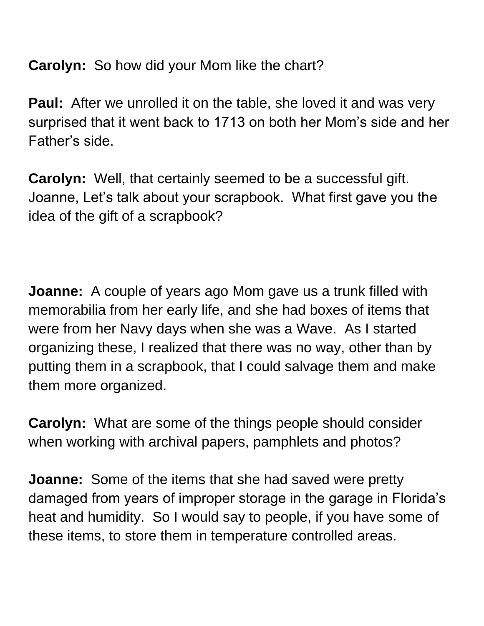**Carolyn:** So how did your Mom like the chart?

**Paul:** After we unrolled it on the table, she loved it and was very surprised that it went back to 1713 on both her Mom's side and her Father's side.

**Carolyn:** Well, that certainly seemed to be a successful gift. Joanne, Let's talk about your scrapbook. What first gave you the idea of the gift of a scrapbook?

**Joanne:** A couple of years ago Mom gave us a trunk filled with memorabilia from her early life, and she had boxes of items that were from her Navy days when she was a Wave. As I started organizing these, I realized that there was no way, other than by putting them in a scrapbook, that I could salvage them and make them more organized.

**Carolyn:** What are some of the things people should consider when working with archival papers, pamphlets and photos?

**Joanne:** Some of the items that she had saved were pretty damaged from years of improper storage in the garage in Florida's heat and humidity. So I would say to people, if you have some of these items, to store them in temperature controlled areas.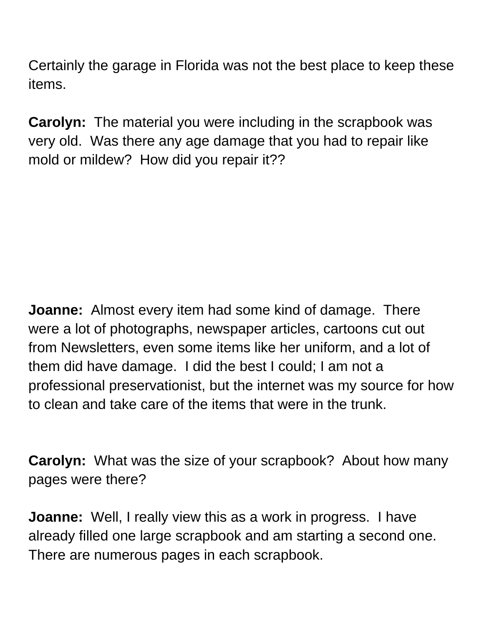Certainly the garage in Florida was not the best place to keep these items.

**Carolyn:** The material you were including in the scrapbook was very old. Was there any age damage that you had to repair like mold or mildew? How did you repair it??

**Joanne:** Almost every item had some kind of damage. There were a lot of photographs, newspaper articles, cartoons cut out from Newsletters, even some items like her uniform, and a lot of them did have damage. I did the best I could; I am not a professional preservationist, but the internet was my source for how to clean and take care of the items that were in the trunk.

**Carolyn:** What was the size of your scrapbook? About how many pages were there?

**Joanne:** Well, I really view this as a work in progress. I have already filled one large scrapbook and am starting a second one. There are numerous pages in each scrapbook.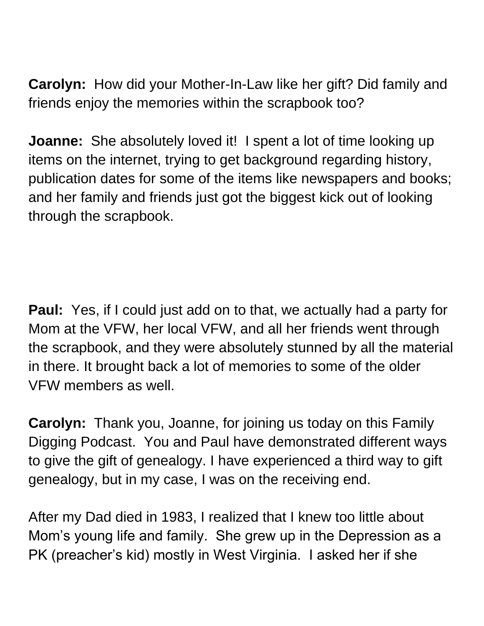**Carolyn:** How did your Mother-In-Law like her gift? Did family and friends enjoy the memories within the scrapbook too?

**Joanne:** She absolutely loved it! I spent a lot of time looking up items on the internet, trying to get background regarding history, publication dates for some of the items like newspapers and books; and her family and friends just got the biggest kick out of looking through the scrapbook.

**Paul:** Yes, if I could just add on to that, we actually had a party for Mom at the VFW, her local VFW, and all her friends went through the scrapbook, and they were absolutely stunned by all the material in there. It brought back a lot of memories to some of the older VFW members as well.

**Carolyn:** Thank you, Joanne, for joining us today on this Family Digging Podcast. You and Paul have demonstrated different ways to give the gift of genealogy. I have experienced a third way to gift genealogy, but in my case, I was on the receiving end.

After my Dad died in 1983, I realized that I knew too little about Mom's young life and family. She grew up in the Depression as a PK (preacher's kid) mostly in West Virginia. I asked her if she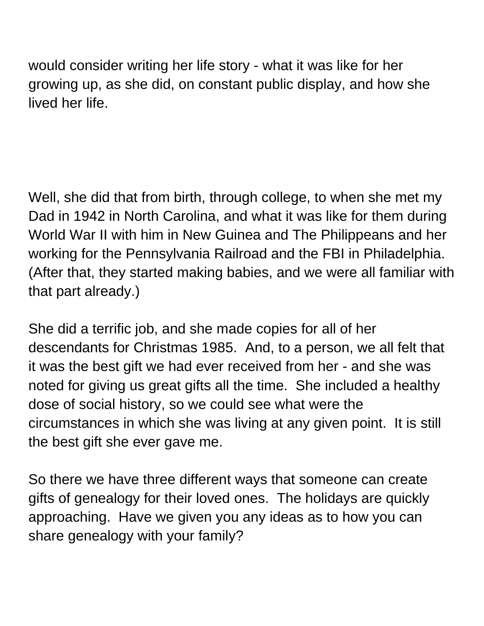would consider writing her life story - what it was like for her growing up, as she did, on constant public display, and how she lived her life.

Well, she did that from birth, through college, to when she met my Dad in 1942 in North Carolina, and what it was like for them during World War II with him in New Guinea and The Philippeans and her working for the Pennsylvania Railroad and the FBI in Philadelphia. (After that, they started making babies, and we were all familiar with that part already.)

She did a terrific job, and she made copies for all of her descendants for Christmas 1985. And, to a person, we all felt that it was the best gift we had ever received from her - and she was noted for giving us great gifts all the time. She included a healthy dose of social history, so we could see what were the circumstances in which she was living at any given point. It is still the best gift she ever gave me.

So there we have three different ways that someone can create gifts of genealogy for their loved ones. The holidays are quickly approaching. Have we given you any ideas as to how you can share genealogy with your family?